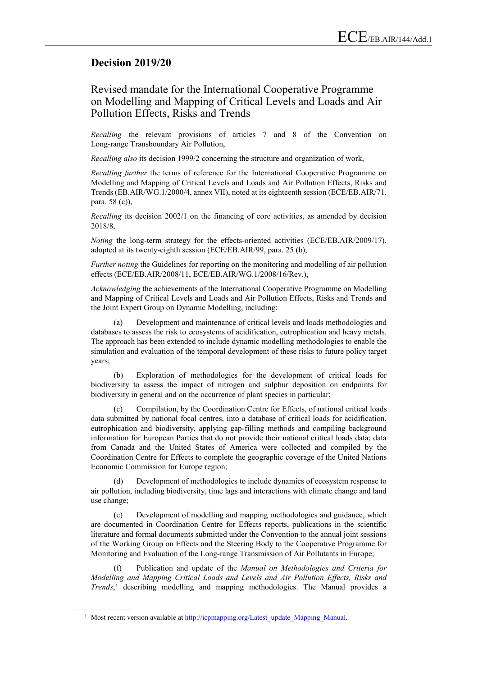## **Decision 2019/20**

## Revised mandate for the International Cooperative Programme on Modelling and Mapping of Critical Levels and Loads and Air Pollution Effects, Risks and Trends

*Recalling* the relevant provisions of articles 7 and 8 of the Convention on Long-range Transboundary Air Pollution,

*Recalling also* its decision 1999/2 concerning the structure and organization of work,

*Recalling further* the terms of reference for the International Cooperative Programme on Modelling and Mapping of Critical Levels and Loads and Air Pollution Effects, Risks and Trends (EB.AIR/WG.1/2000/4, annex VII), noted at its eighteenth session (ECE/EB.AIR/71, para. 58 (c)),

*Recalling* its decision 2002/1 on the financing of core activities, as amended by decision 2018/8,

*Noting* the long-term strategy for the effects-oriented activities (ECE/EB.AIR/2009/17), adopted at its twenty-eighth session (ECE/EB.AIR/99, para. 25 (b),

*Further noting* the Guidelines for reporting on the monitoring and modelling of air pollution effects (ECE/EB.AIR/2008/11, ECE/EB.AIR/WG.1/2008/16/Rev.),

*Acknowledging* the achievements of the International Cooperative Programme on Modelling and Mapping of Critical Levels and Loads and Air Pollution Effects, Risks and Trends and the Joint Expert Group on Dynamic Modelling, including:

(a) Development and maintenance of critical levels and loads methodologies and databases to assess the risk to ecosystems of acidification, eutrophication and heavy metals. The approach has been extended to include dynamic modelling methodologies to enable the simulation and evaluation of the temporal development of these risks to future policy target years;

(b) Exploration of methodologies for the development of critical loads for biodiversity to assess the impact of nitrogen and sulphur deposition on endpoints for biodiversity in general and on the occurrence of plant species in particular;

(c) Compilation, by the Coordination Centre for Effects, of national critical loads data submitted by national focal centres, into a database of critical loads for acidification, eutrophication and biodiversity, applying gap-filling methods and compiling background information for European Parties that do not provide their national critical loads data; data from Canada and the United States of America were collected and compiled by the Coordination Centre for Effects to complete the geographic coverage of the United Nations Economic Commission for Europe region;

(d) Development of methodologies to include dynamics of ecosystem response to air pollution, including biodiversity, time lags and interactions with climate change and land use change;

(e) Development of modelling and mapping methodologies and guidance, which are documented in Coordination Centre for Effects reports, publications in the scientific literature and formal documents submitted under the Convention to the annual joint sessions of the Working Group on Effects and the Steering Body to the Cooperative Programme for Monitoring and Evaluation of the Long-range Transmission of Air Pollutants in Europe;

(f) Publication and update of the *Manual on Methodologies and Criteria for Modelling and Mapping Critical Loads and Levels and Air Pollution Effects, Risks and Trends*,<sup>[1](#page-0-0)</sup> describing modelling and mapping methodologies. The Manual provides a

<span id="page-0-0"></span><sup>&</sup>lt;sup>1</sup> Most recent version available at [http://icpmapping.org/Latest\\_update\\_Mapping\\_Manual.](http://icpmapping.org/Latest_update_Mapping_Manual)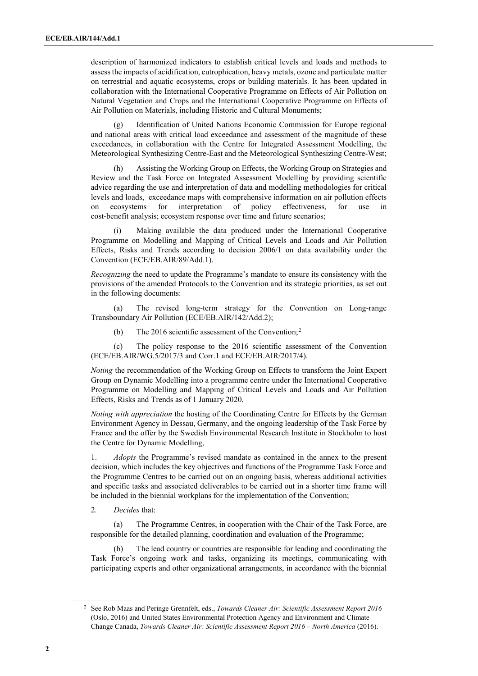description of harmonized indicators to establish critical levels and loads and methods to assess the impacts of acidification, eutrophication, heavy metals, ozone and particulate matter on terrestrial and aquatic ecosystems, crops or building materials. It has been updated in collaboration with the International Cooperative Programme on Effects of Air Pollution on Natural Vegetation and Crops and the International Cooperative Programme on Effects of Air Pollution on Materials, including Historic and Cultural Monuments;

(g) Identification of United Nations Economic Commission for Europe regional and national areas with critical load exceedance and assessment of the magnitude of these exceedances, in collaboration with the Centre for Integrated Assessment Modelling, the Meteorological Synthesizing Centre-East and the Meteorological Synthesizing Centre-West;

(h) Assisting the Working Group on Effects, the Working Group on Strategies and Review and the Task Force on Integrated Assessment Modelling by providing scientific advice regarding the use and interpretation of data and modelling methodologies for critical levels and loads, exceedance maps with comprehensive information on air pollution effects on ecosystems for interpretation of policy effectiveness, for use in cost-benefit analysis; ecosystem response over time and future scenarios;

Making available the data produced under the International Cooperative Programme on Modelling and Mapping of Critical Levels and Loads and Air Pollution Effects, Risks and Trends according to decision 2006/1 on data availability under the Convention (ECE/EB.AIR/89/Add.1).

*Recognizing* the need to update the Programme's mandate to ensure its consistency with the provisions of the amended Protocols to the Convention and its strategic priorities, as set out in the following documents:

(a) The revised long-term strategy for the Convention on Long-range Transboundary Air Pollution (ECE/EB.AIR/142/Add.2);

(b) The [2](#page-1-0)016 scientific assessment of the Convention;<sup>2</sup>

(c) The policy response to the 2016 scientific assessment of the Convention (ECE/EB.AIR/WG.5/2017/3 and Corr.1 and ECE/EB.AIR/2017/4).

*Noting* the recommendation of the Working Group on Effects to transform the Joint Expert Group on Dynamic Modelling into a programme centre under the International Cooperative Programme on Modelling and Mapping of Critical Levels and Loads and Air Pollution Effects, Risks and Trends as of 1 January 2020,

*Noting with appreciation* the hosting of the Coordinating Centre for Effects by the German Environment Agency in Dessau, Germany, and the ongoing leadership of the Task Force by France and the offer by the Swedish Environmental Research Institute in Stockholm to host the Centre for Dynamic Modelling,

1. *Adopts* the Programme's revised mandate as contained in the annex to the present decision, which includes the key objectives and functions of the Programme Task Force and the Programme Centres to be carried out on an ongoing basis, whereas additional activities and specific tasks and associated deliverables to be carried out in a shorter time frame will be included in the biennial workplans for the implementation of the Convention;

2. *Decides* that:

(a) The Programme Centres, in cooperation with the Chair of the Task Force, are responsible for the detailed planning, coordination and evaluation of the Programme;

The lead country or countries are responsible for leading and coordinating the Task Force's ongoing work and tasks, organizing its meetings, communicating with participating experts and other organizational arrangements, in accordance with the biennial

<span id="page-1-0"></span><sup>2</sup> See Rob Maas and Peringe Grennfelt, eds., *Towards Cleaner Air: Scientific Assessment Report 2016* (Oslo, 2016) and United States Environmental Protection Agency and Environment and Climate Change Canada, *Towards Cleaner Air: Scientific Assessment Report 2016 – North America* (2016).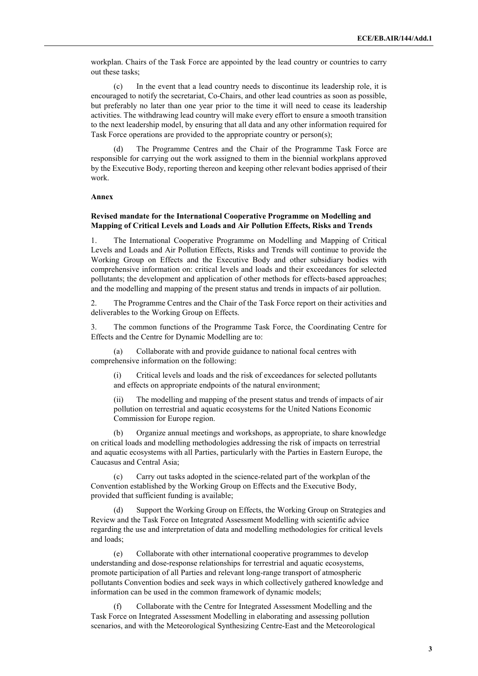workplan. Chairs of the Task Force are appointed by the lead country or countries to carry out these tasks;

(c) In the event that a lead country needs to discontinue its leadership role, it is encouraged to notify the secretariat, Co-Chairs, and other lead countries as soon as possible, but preferably no later than one year prior to the time it will need to cease its leadership activities. The withdrawing lead country will make every effort to ensure a smooth transition to the next leadership model, by ensuring that all data and any other information required for Task Force operations are provided to the appropriate country or person(s);

(d) The Programme Centres and the Chair of the Programme Task Force are responsible for carrying out the work assigned to them in the biennial workplans approved by the Executive Body, reporting thereon and keeping other relevant bodies apprised of their work.

## **Annex**

## **Revised mandate for the International Cooperative Programme on Modelling and Mapping of Critical Levels and Loads and Air Pollution Effects, Risks and Trends**

1. The International Cooperative Programme on Modelling and Mapping of Critical Levels and Loads and Air Pollution Effects, Risks and Trends will continue to provide the Working Group on Effects and the Executive Body and other subsidiary bodies with comprehensive information on: critical levels and loads and their exceedances for selected pollutants; the development and application of other methods for effects-based approaches; and the modelling and mapping of the present status and trends in impacts of air pollution.

2. The Programme Centres and the Chair of the Task Force report on their activities and deliverables to the Working Group on Effects.

3. The common functions of the Programme Task Force, the Coordinating Centre for Effects and the Centre for Dynamic Modelling are to:

(a) Collaborate with and provide guidance to national focal centres with comprehensive information on the following:

(i) Critical levels and loads and the risk of exceedances for selected pollutants and effects on appropriate endpoints of the natural environment;

(ii) The modelling and mapping of the present status and trends of impacts of air pollution on terrestrial and aquatic ecosystems for the United Nations Economic Commission for Europe region.

(b) Organize annual meetings and workshops, as appropriate, to share knowledge on critical loads and modelling methodologies addressing the risk of impacts on terrestrial and aquatic ecosystems with all Parties, particularly with the Parties in Eastern Europe, the Caucasus and Central Asia;

(c) Carry out tasks adopted in the science-related part of the workplan of the Convention established by the Working Group on Effects and the Executive Body, provided that sufficient funding is available;

(d) Support the Working Group on Effects, the Working Group on Strategies and Review and the Task Force on Integrated Assessment Modelling with scientific advice regarding the use and interpretation of data and modelling methodologies for critical levels and loads;

(e) Collaborate with other international cooperative programmes to develop understanding and dose-response relationships for terrestrial and aquatic ecosystems, promote participation of all Parties and relevant long-range transport of atmospheric pollutants Convention bodies and seek ways in which collectively gathered knowledge and information can be used in the common framework of dynamic models;

Collaborate with the Centre for Integrated Assessment Modelling and the Task Force on Integrated Assessment Modelling in elaborating and assessing pollution scenarios, and with the Meteorological Synthesizing Centre-East and the Meteorological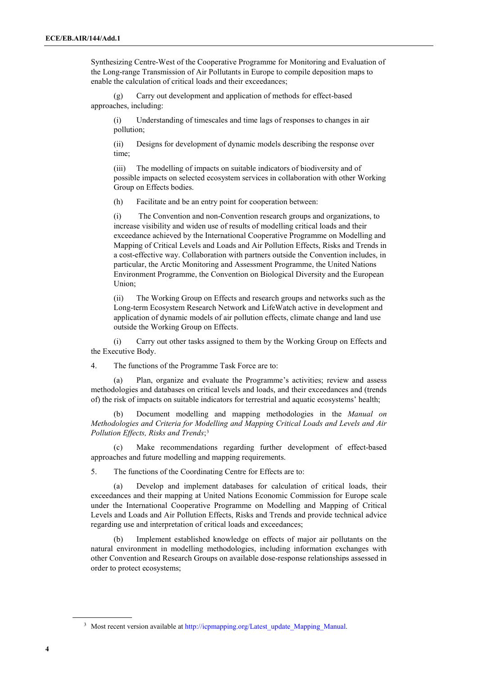Synthesizing Centre-West of the Cooperative Programme for Monitoring and Evaluation of the Long-range Transmission of Air Pollutants in Europe to compile deposition maps to enable the calculation of critical loads and their exceedances;

(g) Carry out development and application of methods for effect-based approaches, including:

(i) Understanding of timescales and time lags of responses to changes in air pollution;

(ii) Designs for development of dynamic models describing the response over time;

(iii) The modelling of impacts on suitable indicators of biodiversity and of possible impacts on selected ecosystem services in collaboration with other Working Group on Effects bodies.

(h) Facilitate and be an entry point for cooperation between:

(i) The Convention and non-Convention research groups and organizations, to increase visibility and widen use of results of modelling critical loads and their exceedance achieved by the International Cooperative Programme on Modelling and Mapping of Critical Levels and Loads and Air Pollution Effects, Risks and Trends in a cost-effective way. Collaboration with partners outside the Convention includes, in particular, the Arctic Monitoring and Assessment Programme, the United Nations Environment Programme, the Convention on Biological Diversity and the European Union;

(ii) The Working Group on Effects and research groups and networks such as the Long-term Ecosystem Research Network and LifeWatch active in development and application of dynamic models of air pollution effects, climate change and land use outside the Working Group on Effects.

(i) Carry out other tasks assigned to them by the Working Group on Effects and the Executive Body.

4. The functions of the Programme Task Force are to:

(a) Plan, organize and evaluate the Programme's activities; review and assess methodologies and databases on critical levels and loads, and their exceedances and (trends of) the risk of impacts on suitable indicators for terrestrial and aquatic ecosystems' health;

(b) Document modelling and mapping methodologies in the *Manual on Methodologies and Criteria for Modelling and Mapping Critical Loads and Levels and Air Pollution Effects, Risks and Trends*;[3](#page-3-0)

(c) Make recommendations regarding further development of effect-based approaches and future modelling and mapping requirements.

5. The functions of the Coordinating Centre for Effects are to:

(a) Develop and implement databases for calculation of critical loads, their exceedances and their mapping at United Nations Economic Commission for Europe scale under the International Cooperative Programme on Modelling and Mapping of Critical Levels and Loads and Air Pollution Effects, Risks and Trends and provide technical advice regarding use and interpretation of critical loads and exceedances;

(b) Implement established knowledge on effects of major air pollutants on the natural environment in modelling methodologies, including information exchanges with other Convention and Research Groups on available dose-response relationships assessed in order to protect ecosystems;

<span id="page-3-0"></span><sup>&</sup>lt;sup>3</sup> Most recent version available at [http://icpmapping.org/Latest\\_update\\_Mapping\\_Manual.](http://icpmapping.org/Latest_update_Mapping_Manual)